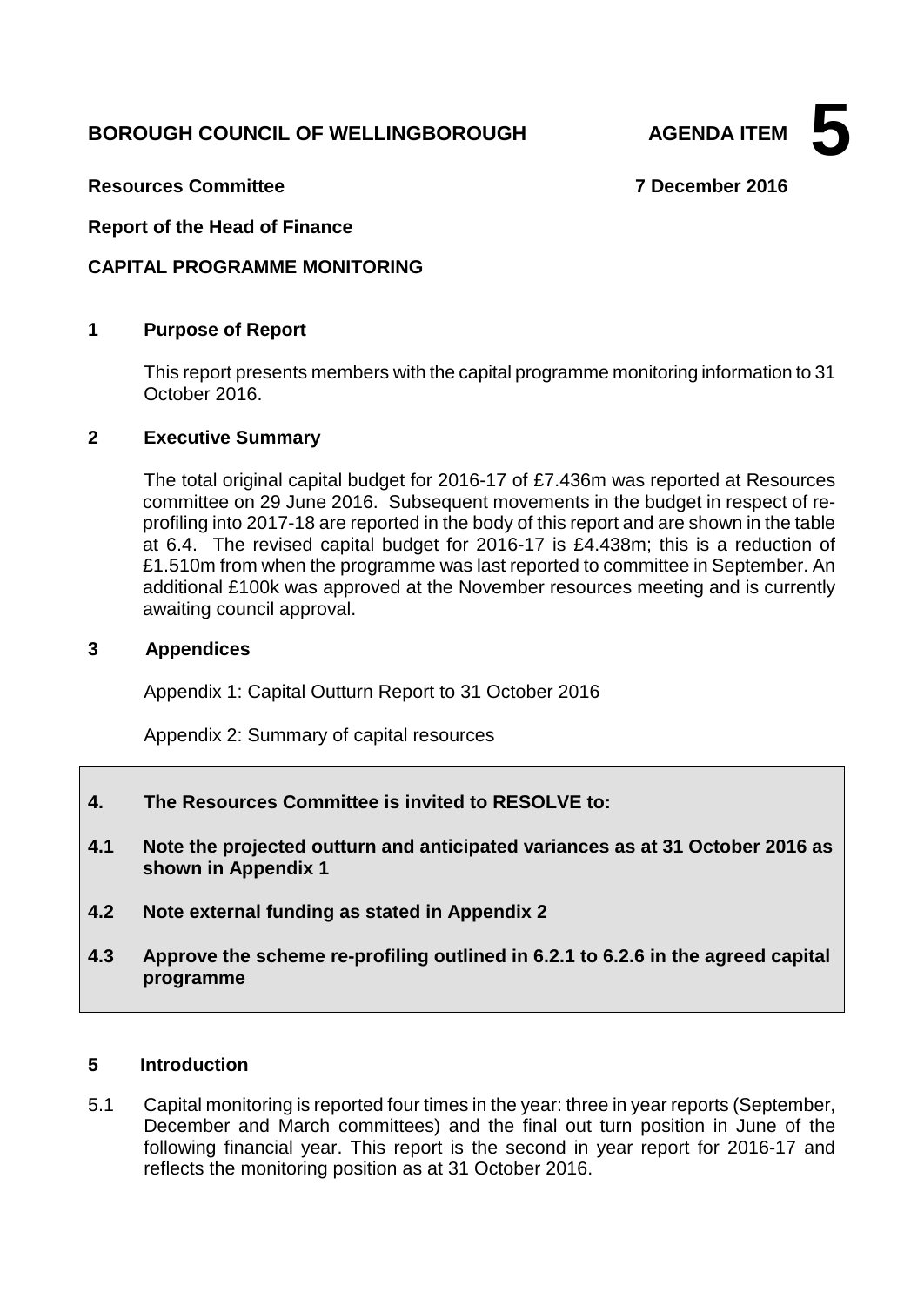# **BOROUGH COUNCIL OF WELLINGBOROUGH AGENDA ITEM**

**5**

**Resources Committee 7 December 2016**

**Report of the Head of Finance**

### **CAPITAL PROGRAMME MONITORING**

### **1 Purpose of Report**

This report presents members with the capital programme monitoring information to 31 October 2016.

### **2 Executive Summary**

The total original capital budget for 2016-17 of £7.436m was reported at Resources committee on 29 June 2016. Subsequent movements in the budget in respect of reprofiling into 2017-18 are reported in the body of this report and are shown in the table at 6.4. The revised capital budget for 2016-17 is £4.438m; this is a reduction of £1.510m from when the programme was last reported to committee in September. An additional £100k was approved at the November resources meeting and is currently awaiting council approval.

### **3 Appendices**

Appendix 1: Capital Outturn Report to 31 October 2016

Appendix 2: Summary of capital resources

- **4. The Resources Committee is invited to RESOLVE to:**
- **4.1 Note the projected outturn and anticipated variances as at 31 October 2016 as shown in Appendix 1**
- **4.2 Note external funding as stated in Appendix 2**
- **4.3 Approve the scheme re-profiling outlined in 6.2.1 to 6.2.6 in the agreed capital programme**

### **5 Introduction**

5.1 Capital monitoring is reported four times in the year: three in year reports (September, December and March committees) and the final out turn position in June of the following financial year. This report is the second in year report for 2016-17 and reflects the monitoring position as at 31 October 2016.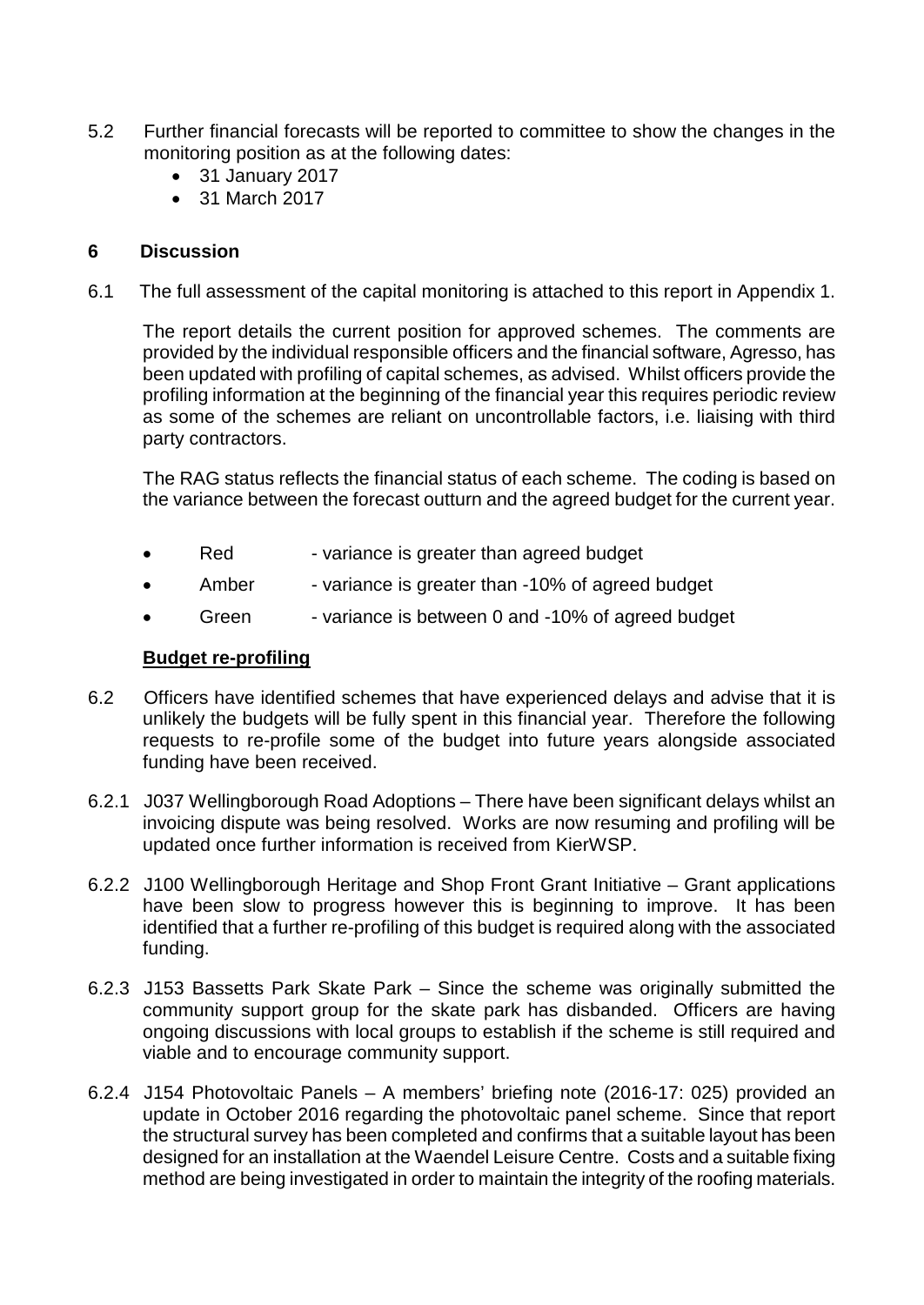- 5.2 Further financial forecasts will be reported to committee to show the changes in the monitoring position as at the following dates:
	- 31 January 2017
	- 31 March 2017

#### **6 Discussion**

6.1 The full assessment of the capital monitoring is attached to this report in Appendix 1.

The report details the current position for approved schemes. The comments are provided by the individual responsible officers and the financial software, Agresso, has been updated with profiling of capital schemes, as advised. Whilst officers provide the profiling information at the beginning of the financial year this requires periodic review as some of the schemes are reliant on uncontrollable factors, i.e. liaising with third party contractors.

The RAG status reflects the financial status of each scheme. The coding is based on the variance between the forecast outturn and the agreed budget for the current year.

- Red variance is greater than agreed budget
- Amber variance is greater than -10% of agreed budget
- Green variance is between 0 and -10% of agreed budget

#### **Budget re-profiling**

- 6.2 Officers have identified schemes that have experienced delays and advise that it is unlikely the budgets will be fully spent in this financial year. Therefore the following requests to re-profile some of the budget into future years alongside associated funding have been received.
- 6.2.1 J037 Wellingborough Road Adoptions There have been significant delays whilst an invoicing dispute was being resolved. Works are now resuming and profiling will be updated once further information is received from KierWSP.
- 6.2.2 J100 Wellingborough Heritage and Shop Front Grant Initiative Grant applications have been slow to progress however this is beginning to improve. It has been identified that a further re-profiling of this budget is required along with the associated funding.
- 6.2.3 J153 Bassetts Park Skate Park Since the scheme was originally submitted the community support group for the skate park has disbanded. Officers are having ongoing discussions with local groups to establish if the scheme is still required and viable and to encourage community support.
- 6.2.4 J154 Photovoltaic Panels A members' briefing note (2016-17: 025) provided an update in October 2016 regarding the photovoltaic panel scheme. Since that report the structural survey has been completed and confirms that a suitable layout has been designed for an installation at the Waendel Leisure Centre. Costs and a suitable fixing method are being investigated in order to maintain the integrity of the roofing materials.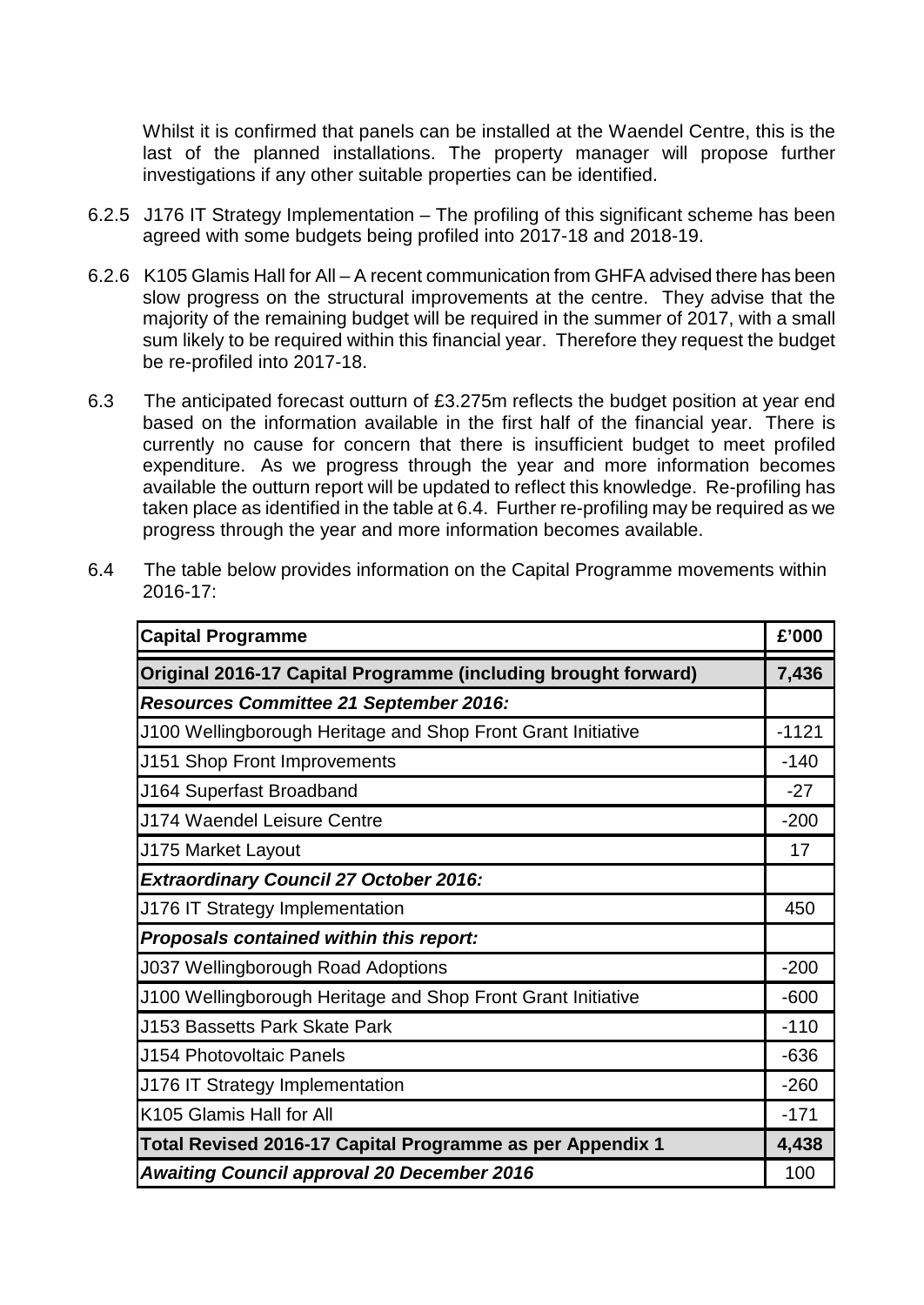Whilst it is confirmed that panels can be installed at the Waendel Centre, this is the last of the planned installations. The property manager will propose further investigations if any other suitable properties can be identified.

- 6.2.5 J176 IT Strategy Implementation The profiling of this significant scheme has been agreed with some budgets being profiled into 2017-18 and 2018-19.
- 6.2.6 K105 Glamis Hall for All A recent communication from GHFA advised there has been slow progress on the structural improvements at the centre. They advise that the majority of the remaining budget will be required in the summer of 2017, with a small sum likely to be required within this financial year. Therefore they request the budget be re-profiled into 2017-18.
- 6.3 The anticipated forecast outturn of £3.275m reflects the budget position at year end based on the information available in the first half of the financial year. There is currently no cause for concern that there is insufficient budget to meet profiled expenditure. As we progress through the year and more information becomes available the outturn report will be updated to reflect this knowledge. Re-profiling has taken place as identified in the table at 6.4. Further re-profiling may be required as we progress through the year and more information becomes available.

| 6.4 | The table below provides information on the Capital Programme movements within |
|-----|--------------------------------------------------------------------------------|
|     | $2016 - 17$ :                                                                  |

| <b>Capital Programme</b>                                       | £'000   |  |  |  |  |
|----------------------------------------------------------------|---------|--|--|--|--|
| Original 2016-17 Capital Programme (including brought forward) |         |  |  |  |  |
| <b>Resources Committee 21 September 2016:</b>                  |         |  |  |  |  |
| J100 Wellingborough Heritage and Shop Front Grant Initiative   | $-1121$ |  |  |  |  |
| J151 Shop Front Improvements                                   | $-140$  |  |  |  |  |
| J164 Superfast Broadband                                       | $-27$   |  |  |  |  |
| J174 Waendel Leisure Centre                                    | $-200$  |  |  |  |  |
| J175 Market Layout                                             | 17      |  |  |  |  |
| <b>Extraordinary Council 27 October 2016:</b>                  |         |  |  |  |  |
| J176 IT Strategy Implementation                                | 450     |  |  |  |  |
| Proposals contained within this report:                        |         |  |  |  |  |
| <b>J037 Wellingborough Road Adoptions</b>                      | $-200$  |  |  |  |  |
| J100 Wellingborough Heritage and Shop Front Grant Initiative   | $-600$  |  |  |  |  |
| <b>J153 Bassetts Park Skate Park</b>                           | $-110$  |  |  |  |  |
| <b>J154 Photovoltaic Panels</b>                                | $-636$  |  |  |  |  |
| J176 IT Strategy Implementation                                | $-260$  |  |  |  |  |
| K105 Glamis Hall for All                                       | $-171$  |  |  |  |  |
| Total Revised 2016-17 Capital Programme as per Appendix 1      | 4,438   |  |  |  |  |
| <b>Awaiting Council approval 20 December 2016</b>              | 100     |  |  |  |  |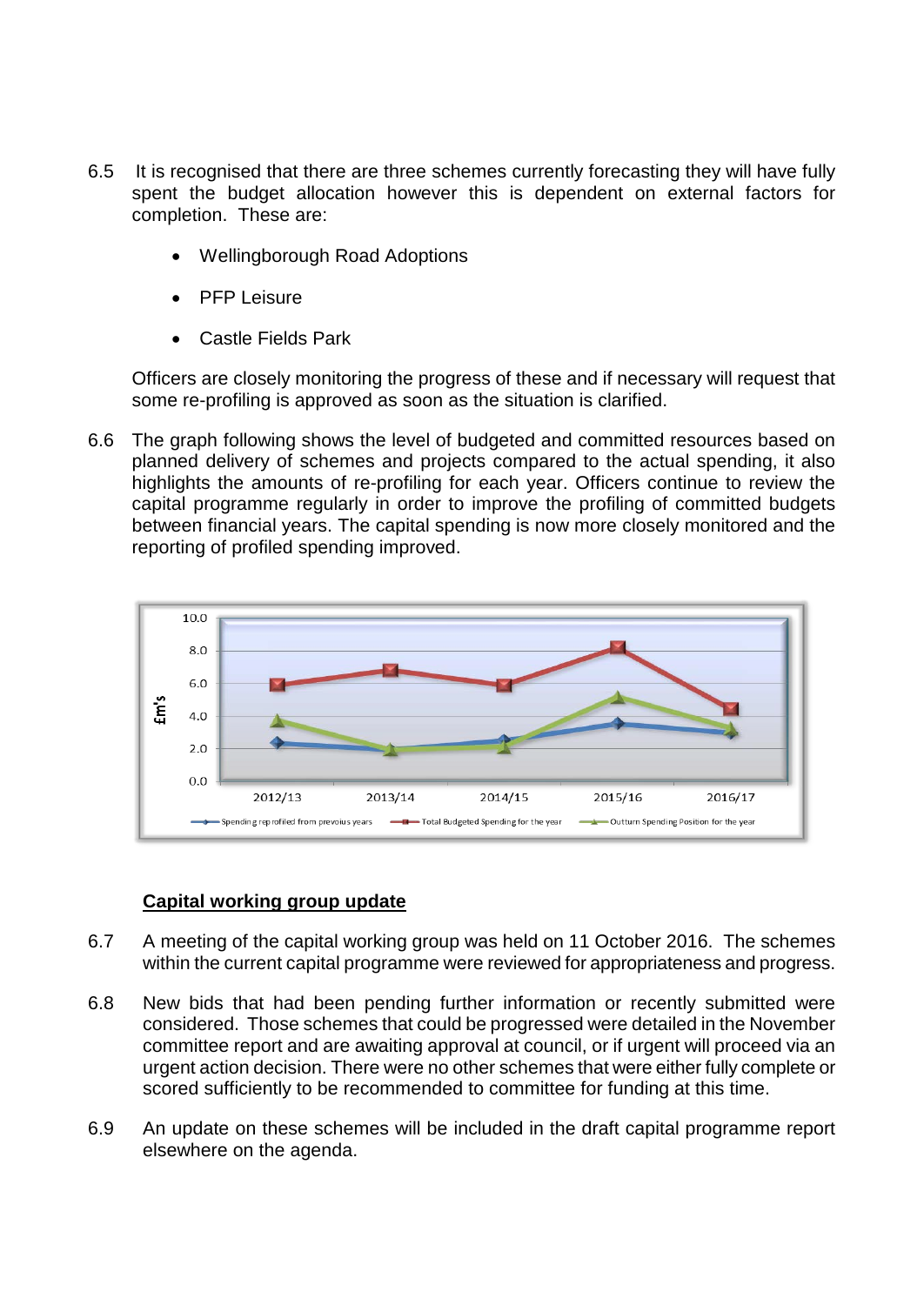- 6.5 It is recognised that there are three schemes currently forecasting they will have fully spent the budget allocation however this is dependent on external factors for completion. These are:
	- Wellingborough Road Adoptions
	- PFP Leisure
	- Castle Fields Park

Officers are closely monitoring the progress of these and if necessary will request that some re-profiling is approved as soon as the situation is clarified.

6.6 The graph following shows the level of budgeted and committed resources based on planned delivery of schemes and projects compared to the actual spending, it also highlights the amounts of re-profiling for each year. Officers continue to review the capital programme regularly in order to improve the profiling of committed budgets between financial years. The capital spending is now more closely monitored and the reporting of profiled spending improved.



## **Capital working group update**

- 6.7 A meeting of the capital working group was held on 11 October 2016. The schemes within the current capital programme were reviewed for appropriateness and progress.
- 6.8 New bids that had been pending further information or recently submitted were considered. Those schemes that could be progressed were detailed in the November committee report and are awaiting approval at council, or if urgent will proceed via an urgent action decision. There were no other schemes that were either fully complete or scored sufficiently to be recommended to committee for funding at this time.
- 6.9 An update on these schemes will be included in the draft capital programme report elsewhere on the agenda.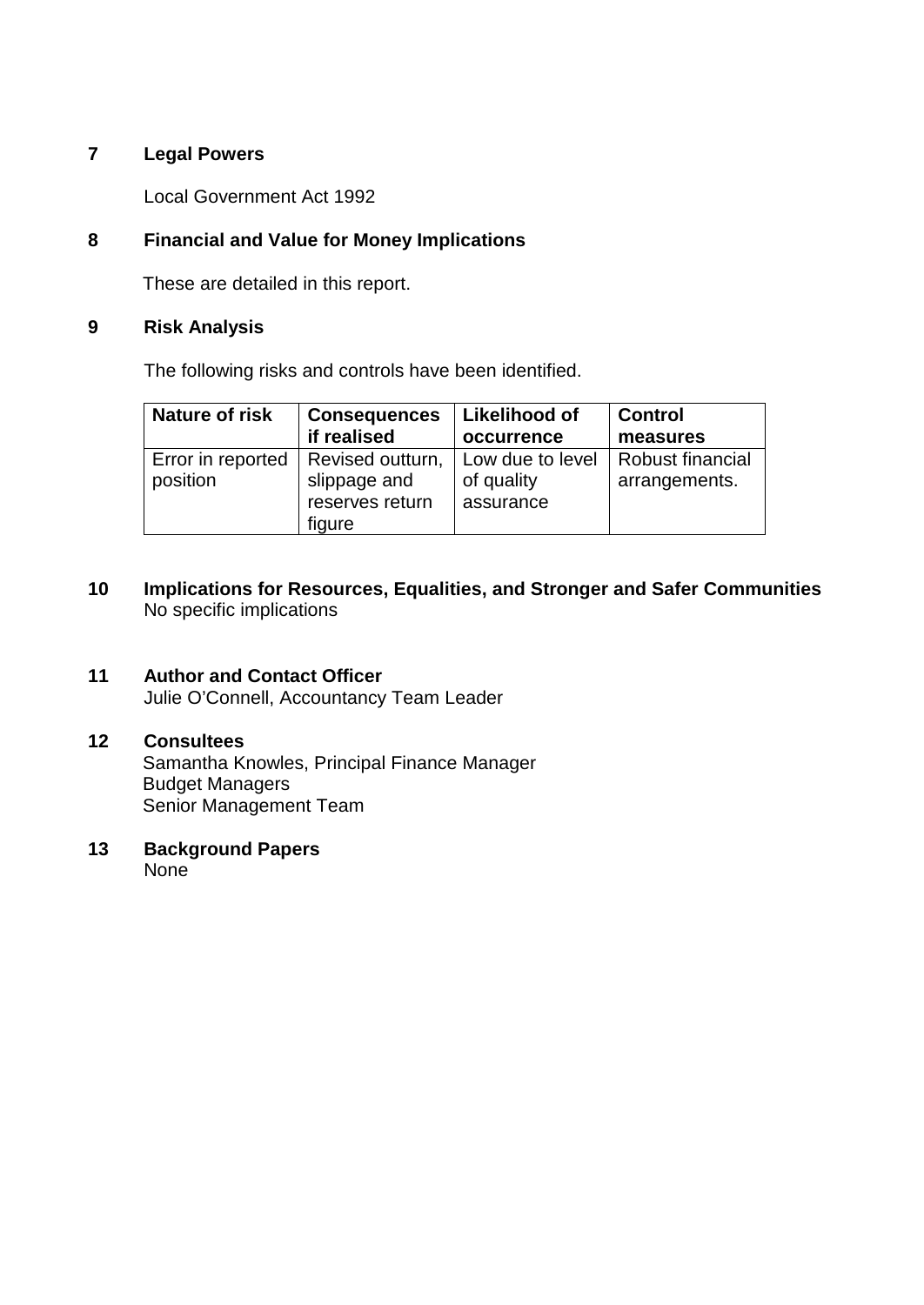### **7 Legal Powers**

Local Government Act 1992

## **8 Financial and Value for Money Implications**

These are detailed in this report.

### **9 Risk Analysis**

The following risks and controls have been identified.

| <b>Nature of risk</b>         | <b>Consequences</b>                                           | Likelihood of                               | <b>Control</b>                    |
|-------------------------------|---------------------------------------------------------------|---------------------------------------------|-----------------------------------|
|                               | if realised                                                   | occurrence                                  | measures                          |
| Error in reported<br>position | Revised outturn,<br>slippage and<br>reserves return<br>figure | Low due to level<br>of quality<br>assurance | Robust financial<br>arrangements. |

**10 Implications for Resources, Equalities, and Stronger and Safer Communities** No specific implications

# **11 Author and Contact Officer**

Julie O'Connell, Accountancy Team Leader

### **12 Consultees**

Samantha Knowles, Principal Finance Manager Budget Managers Senior Management Team

# **13 Background Papers**

None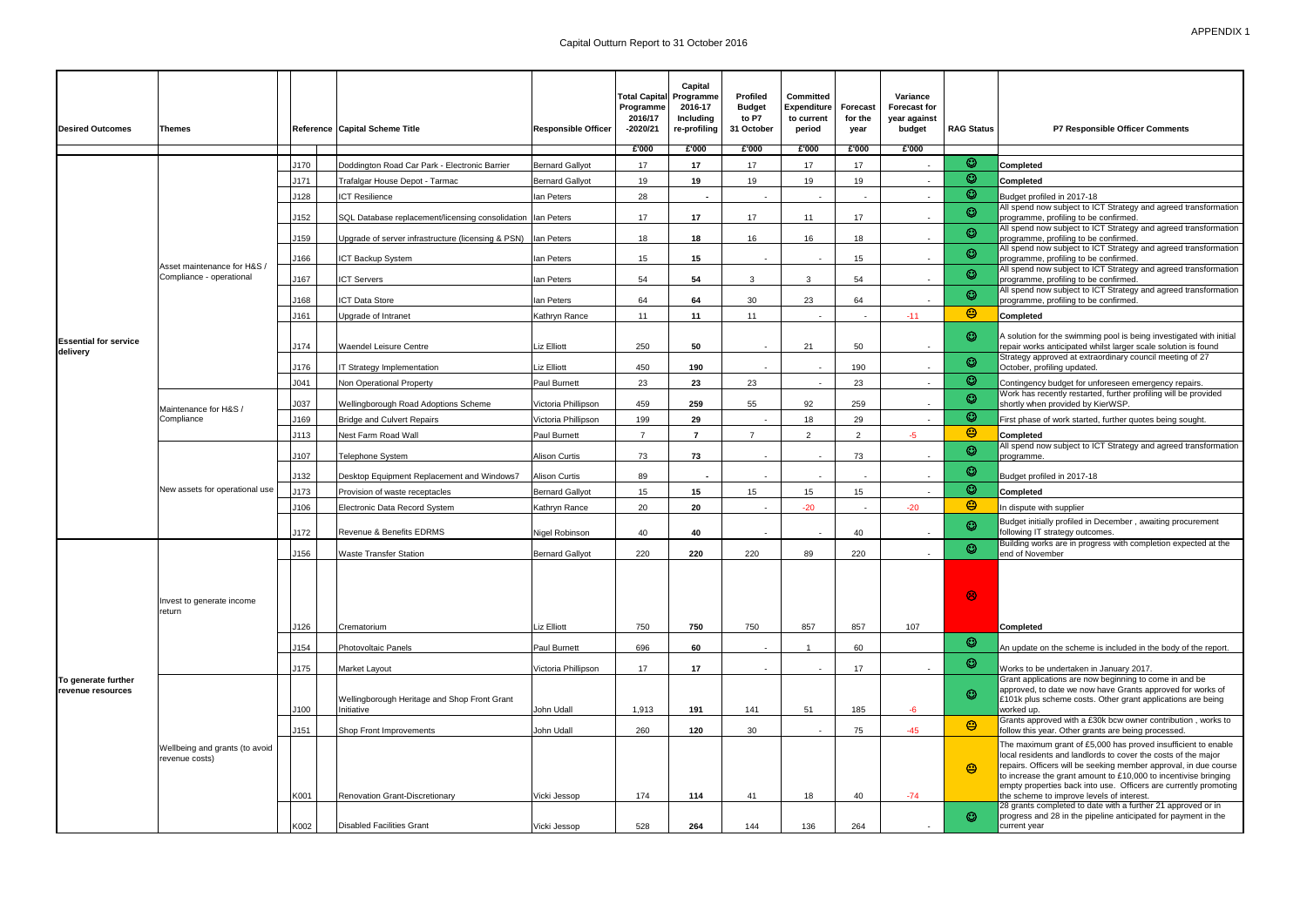| <b>Desired Outcomes</b><br>Themes        |                                                         | Reference Capital Scheme Title | <b>Responsible Officer</b>                                      | Total Capital Programme<br>Programme<br>2016/17<br>-2020/21 | Capital<br>2016-17<br>Including<br>re-profiling | Profiled<br><b>Budget</b><br>to P7<br>31 October | <b>Committed</b><br>Expenditure<br>to current<br>period | <b>Forecast</b><br>for the<br>year | Variance<br><b>Forecast for</b><br>year against<br>budget | <b>RAG Status</b>        | P7 Responsible Officer Comments |                                                                                                                                                                                                                                                                                                                                                                                                                                                        |
|------------------------------------------|---------------------------------------------------------|--------------------------------|-----------------------------------------------------------------|-------------------------------------------------------------|-------------------------------------------------|--------------------------------------------------|---------------------------------------------------------|------------------------------------|-----------------------------------------------------------|--------------------------|---------------------------------|--------------------------------------------------------------------------------------------------------------------------------------------------------------------------------------------------------------------------------------------------------------------------------------------------------------------------------------------------------------------------------------------------------------------------------------------------------|
|                                          |                                                         |                                |                                                                 |                                                             | £'000                                           | £'000                                            | £'000                                                   | £'000                              | E'000                                                     | £'000                    |                                 |                                                                                                                                                                                                                                                                                                                                                                                                                                                        |
|                                          |                                                         | J170                           | Doddington Road Car Park - Electronic Barrier                   | <b>Bernard Gallyot</b>                                      | 17                                              | 17                                               | 17                                                      | 17                                 | 17                                                        |                          | $\odot$                         | Completed                                                                                                                                                                                                                                                                                                                                                                                                                                              |
|                                          |                                                         | J171                           | Trafalgar House Depot - Tarmac                                  | <b>Bernard Gallyot</b>                                      | 19                                              | 19                                               | 19                                                      | 19                                 | 19                                                        | $\overline{\phantom{0}}$ | $\odot$                         | Completed                                                                                                                                                                                                                                                                                                                                                                                                                                              |
|                                          |                                                         | J128                           | <b>ICT Resilience</b>                                           | lan Peters                                                  | 28                                              | $\sim$                                           | $\overline{\phantom{a}}$                                |                                    | $\overline{\phantom{a}}$                                  |                          | $\odot$                         | Budget profiled in 2017-18<br>All spend now subject to ICT Strategy and agreed transformation                                                                                                                                                                                                                                                                                                                                                          |
|                                          |                                                         | J152                           | SQL Database replacement/licensing consolidation Ian Peters     |                                                             | 17                                              | 17                                               | 17                                                      | 11                                 | 17                                                        |                          | $\odot$                         | programme, profiling to be confirmed.                                                                                                                                                                                                                                                                                                                                                                                                                  |
|                                          |                                                         | J159                           | Upgrade of server infrastructure (licensing & PSN)   Ian Peters |                                                             | 18                                              | 18                                               | 16                                                      | 16                                 | 18                                                        | $\overline{a}$           | $\odot$                         | All spend now subject to ICT Strategy and agreed transformation<br>programme, profiling to be confirmed                                                                                                                                                                                                                                                                                                                                                |
|                                          |                                                         | J166                           | ICT Backup System                                               | lan Peters                                                  | 15                                              | 15                                               | $\overline{\phantom{a}}$                                |                                    | 15                                                        |                          | $\odot$                         | All spend now subject to ICT Strategy and agreed transformation<br>programme, profiling to be confirmed                                                                                                                                                                                                                                                                                                                                                |
|                                          | Asset maintenance for H&S /<br>Compliance - operational | J167                           | <b>ICT Servers</b>                                              | lan Peters                                                  | 54                                              | 54                                               | ર                                                       | 3                                  | 54                                                        |                          | $\odot$                         | All spend now subject to ICT Strategy and agreed transformation<br>programme, profiling to be confirmed.                                                                                                                                                                                                                                                                                                                                               |
|                                          |                                                         |                                |                                                                 |                                                             |                                                 |                                                  |                                                         |                                    |                                                           |                          | $\odot$                         | All spend now subject to ICT Strategy and agreed transformation                                                                                                                                                                                                                                                                                                                                                                                        |
|                                          |                                                         | J168                           | <b>ICT Data Store</b>                                           | <b>Ian Peters</b>                                           | 64                                              | 64                                               | 30                                                      | 23                                 | 64                                                        |                          | $\odot$                         | programme, profiling to be confirmed                                                                                                                                                                                                                                                                                                                                                                                                                   |
|                                          |                                                         | J161                           | Upgrade of Intranet                                             | Kathryn Rance                                               | 11                                              | 11                                               | 11                                                      | $\overline{\phantom{a}}$           | $\sim$                                                    | $-11$                    |                                 | Completed                                                                                                                                                                                                                                                                                                                                                                                                                                              |
| <b>Essential for service</b>             |                                                         | J174                           | <b>Waendel Leisure Centre</b>                                   | <b>Liz Elliott</b>                                          | 250                                             | 50                                               | $\sim$                                                  | 21                                 | 50                                                        | $\overline{\phantom{a}}$ | $\circledcirc$                  | A solution for the swimming pool is being investigated with initial<br>repair works anticipated whilst larger scale solution is found                                                                                                                                                                                                                                                                                                                  |
| delivery                                 |                                                         |                                |                                                                 |                                                             |                                                 |                                                  |                                                         |                                    |                                                           |                          | $\odot$                         | Strategy approved at extraordinary council meeting of 27                                                                                                                                                                                                                                                                                                                                                                                               |
|                                          |                                                         | J176                           | IT Strategy Implementation                                      | <b>Liz Elliott</b>                                          | 450                                             | 190                                              |                                                         |                                    | 190                                                       |                          | $\odot$                         | October, profiling updated.                                                                                                                                                                                                                                                                                                                                                                                                                            |
|                                          |                                                         | J <sub>041</sub>               | Non Operational Property                                        | <b>Paul Burnett</b>                                         | 23                                              | 23                                               | 23                                                      |                                    | 23                                                        | $\overline{\phantom{a}}$ | $\odot$                         | Contingency budget for unforeseen emergency repairs.<br>Work has recently restarted, further profiling will be provided                                                                                                                                                                                                                                                                                                                                |
|                                          | Maintenance for H&S /                                   | J037                           | Wellingborough Road Adoptions Scheme                            | Victoria Phillipson                                         | 459                                             | 259                                              | 55                                                      | 92                                 | 259                                                       |                          |                                 | shortly when provided by KierWSP.                                                                                                                                                                                                                                                                                                                                                                                                                      |
|                                          | Compliance                                              | J169                           | <b>Bridge and Culvert Repairs</b>                               | Victoria Phillipson                                         | 199                                             | 29                                               | $\sim$                                                  | 18                                 | 29                                                        | $\overline{\phantom{a}}$ | $\odot$                         | First phase of work started, further quotes being sought.                                                                                                                                                                                                                                                                                                                                                                                              |
|                                          |                                                         | J113                           | Nest Farm Road Wall                                             | <b>Paul Burnett</b>                                         | $7^{\circ}$                                     | $\overline{7}$                                   | $\overline{7}$                                          | $\mathcal{P}$                      | $\mathcal{P}$                                             | $-5$                     | $\odot$                         | Completed<br>All spend now subject to ICT Strategy and agreed transformation                                                                                                                                                                                                                                                                                                                                                                           |
|                                          |                                                         | J107                           | Telephone System                                                | <b>Alison Curtis</b>                                        | 73                                              | 73                                               | $\sim$                                                  | $\overline{\phantom{a}}$           | 73                                                        |                          | $\odot$                         | programme.                                                                                                                                                                                                                                                                                                                                                                                                                                             |
|                                          |                                                         | J132                           | Desktop Equipment Replacement and Windows7                      | <b>Alison Curtis</b>                                        | 89                                              |                                                  |                                                         |                                    |                                                           |                          | $\odot$                         | Budget profiled in 2017-18                                                                                                                                                                                                                                                                                                                                                                                                                             |
|                                          | New assets for operational use                          | J173                           | Provision of waste receptacles                                  | <b>Bernard Gallyot</b>                                      | 15                                              | 15                                               | 15 <sup>15</sup>                                        | 15                                 | 15                                                        |                          | $\odot$                         | Completed                                                                                                                                                                                                                                                                                                                                                                                                                                              |
|                                          |                                                         | J106                           | Electronic Data Record System                                   | Kathryn Rance                                               | 20                                              | 20                                               | $\overline{\phantom{a}}$                                | $-20$                              | $\overline{a}$                                            | $-20$                    | $\odot$                         | In dispute with supplier                                                                                                                                                                                                                                                                                                                                                                                                                               |
|                                          |                                                         | J172                           | Revenue & Benefits EDRMS                                        | Nigel Robinson                                              | 40                                              | 40                                               | $\sim$                                                  |                                    | 40                                                        |                          | $\odot$                         | Budget initially profiled in December, awaiting procurement<br>following IT strategy outcomes.                                                                                                                                                                                                                                                                                                                                                         |
|                                          |                                                         | J156                           | <b>Waste Transfer Station</b>                                   | <b>Bernard Gallyot</b>                                      | 220                                             | 220                                              | 220                                                     | 89                                 | 220                                                       |                          | $\odot$                         | Building works are in progress with completion expected at the<br>end of November                                                                                                                                                                                                                                                                                                                                                                      |
| To generate further<br>revenue resources | Invest to generate income<br>return                     |                                |                                                                 |                                                             |                                                 |                                                  |                                                         |                                    |                                                           |                          | $\circledcirc$                  |                                                                                                                                                                                                                                                                                                                                                                                                                                                        |
|                                          |                                                         | J126                           | Crematorium                                                     | Liz Elliott                                                 | 750                                             | 750                                              | 750                                                     | 857                                | 857                                                       | 107                      | $\odot$                         | <b>Completed</b>                                                                                                                                                                                                                                                                                                                                                                                                                                       |
|                                          |                                                         | J154                           | <b>Photovoltaic Panels</b>                                      | Paul Burnett                                                | 696                                             | 60                                               | $\sim$                                                  |                                    | 60                                                        |                          |                                 | An update on the scheme is included in the body of the report.                                                                                                                                                                                                                                                                                                                                                                                         |
|                                          |                                                         | J175                           | <b>Market Layout</b>                                            | Victoria Phillipson                                         | 17                                              | 17                                               | $\sim$                                                  |                                    | 17                                                        |                          | $\odot$                         | Works to be undertaken in January 2017.                                                                                                                                                                                                                                                                                                                                                                                                                |
|                                          |                                                         | J100                           | Wellingborough Heritage and Shop Front Grant<br>Initiative      | John Udall                                                  | 1,913                                           | 191                                              | 141                                                     | 51                                 | 185                                                       | $-6$                     | $\odot$                         | Grant applications are now beginning to come in and be<br>approved, to date we now have Grants approved for works of<br>£101k plus scheme costs. Other grant applications are being<br>worked up.<br>Grants approved with a £30k bcw owner contribution, works to                                                                                                                                                                                      |
|                                          |                                                         | J151                           | Shop Front Improvements                                         | John Udall                                                  | 260                                             | 120                                              | 30                                                      | $\sim$                             | 75                                                        | $-45$                    | $\odot$                         | follow this year. Other grants are being processed.                                                                                                                                                                                                                                                                                                                                                                                                    |
|                                          | Wellbeing and grants (to avoid<br>revenue costs)        | K001                           | <b>Renovation Grant-Discretionary</b>                           | Vicki Jessop                                                | 174                                             | 114                                              | 41                                                      | 18                                 | 40                                                        | $-74$                    | $\odot$                         | The maximum grant of £5,000 has proved insufficient to enable<br>local residents and landlords to cover the costs of the major<br>repairs. Officers will be seeking member approval, in due course<br>to increase the grant amount to £10,000 to incentivise bringing<br>empty properties back into use. Officers are currently promoting<br>the scheme to improve levels of interest.<br>28 grants completed to date with a further 21 approved or in |
|                                          |                                                         | K002                           | <b>Disabled Facilities Grant</b>                                | Vicki Jessop                                                | 528                                             | 264                                              | 144                                                     | 136                                | 264                                                       |                          | ☺                               | progress and 28 in the pipeline anticipated for payment in the<br>current year                                                                                                                                                                                                                                                                                                                                                                         |
|                                          |                                                         |                                |                                                                 |                                                             |                                                 |                                                  |                                                         |                                    |                                                           |                          |                                 |                                                                                                                                                                                                                                                                                                                                                                                                                                                        |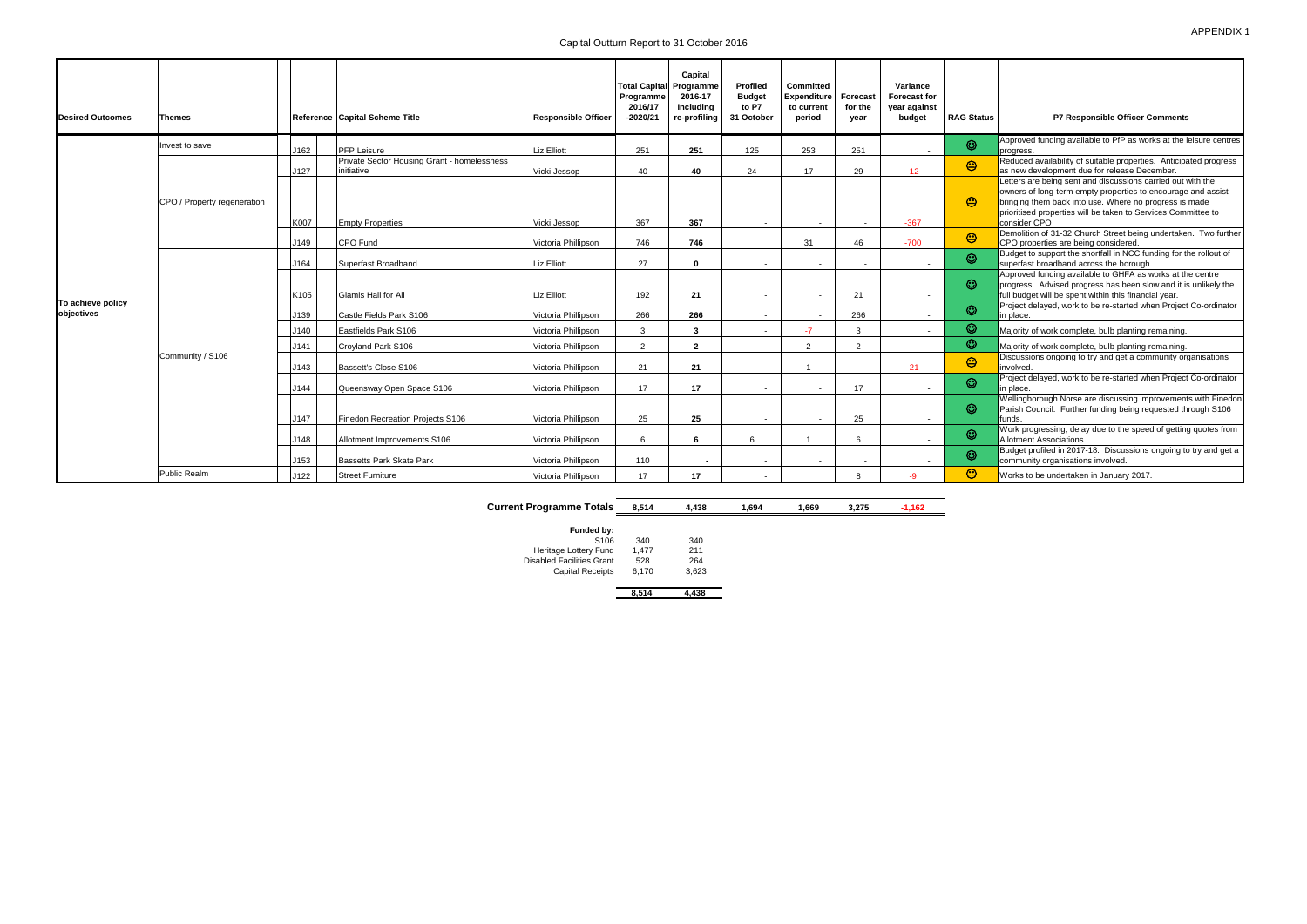Capital Outturn Report to 31 October 2016

| <b>Desired Outcomes</b>         | Themes                      |      | Reference Capital Scheme Title                            | <b>Responsible Officer</b> | Programme<br>2016/17<br>$-2020/21$ | Capital<br><b>Total Capital Programme</b><br>2016-17<br>Including<br>re-profiling | Profiled<br><b>Budget</b><br>to P7<br>31 October | <b>Committed</b><br><b>Expenditure</b><br>to current<br>period | Forecast<br>for the<br>vear | Variance<br><b>Forecast for</b><br>year against<br>budget | <b>RAG Status</b> | P7 Responsible Officer Comments                                                                                                                                                                                                                                        |
|---------------------------------|-----------------------------|------|-----------------------------------------------------------|----------------------------|------------------------------------|-----------------------------------------------------------------------------------|--------------------------------------------------|----------------------------------------------------------------|-----------------------------|-----------------------------------------------------------|-------------------|------------------------------------------------------------------------------------------------------------------------------------------------------------------------------------------------------------------------------------------------------------------------|
|                                 | Invest to save              | J162 | <b>PFP Leisure</b>                                        | <b>Liz Elliott</b>         | 251                                | 251                                                                               | 125                                              | 253                                                            | 251                         |                                                           | $\odot$           | Approved funding available to PfP as works at the leisure centres<br>progress.                                                                                                                                                                                         |
|                                 |                             | J127 | Private Sector Housing Grant - homelessness<br>initiative | Vicki Jessop               | 40                                 | 40                                                                                | 24                                               | 17                                                             | 29                          | $-12$                                                     | $\circledcirc$    | Reduced availability of suitable properties. Anticipated progress<br>as new development due for release December                                                                                                                                                       |
| To achieve policy<br>objectives | CPO / Property regeneration | K007 | <b>Empty Properties</b>                                   | Vicki Jessop               | 367                                | 367                                                                               | $\overline{\phantom{a}}$                         |                                                                | $\blacksquare$              | $-367$                                                    | ☺                 | Letters are being sent and discussions carried out with the<br>owners of long-term empty properties to encourage and assist<br>bringing them back into use. Where no progress is made<br>prioritised properties will be taken to Services Committee to<br>consider CPO |
|                                 |                             | J149 | CPO Fund                                                  | Victoria Phillipson        | 746                                | 746                                                                               |                                                  | 31                                                             | 46                          | $-700$                                                    | $\circledcirc$    | Demolition of 31-32 Church Street being undertaken. Two further<br>CPO properties are being considered.                                                                                                                                                                |
|                                 | Community / S106            | J164 | Superfast Broadband                                       | <b>Liz Elliott</b>         | 27                                 | $\Omega$                                                                          | $\overline{\phantom{a}}$                         |                                                                |                             |                                                           | $\odot$           | Budget to support the shortfall in NCC funding for the rollout of<br>superfast broadband across the borough.                                                                                                                                                           |
|                                 |                             | K105 | <b>Glamis Hall for All</b>                                | <b>Liz Elliott</b>         | 192                                | 21                                                                                | $\overline{\phantom{a}}$                         |                                                                | 21                          | $\overline{\phantom{a}}$                                  | $\odot$           | Approved funding available to GHFA as works at the centre<br>progress. Advised progress has been slow and it is unlikely the<br>full budget will be spent within this financial year.                                                                                  |
|                                 |                             | J139 | Castle Fields Park S106                                   | Victoria Phillipson        | 266                                | 266                                                                               | $\overline{\phantom{a}}$                         |                                                                | 266                         | $\overline{\phantom{a}}$                                  | $\odot$           | Project delayed, work to be re-started when Project Co-ordinator<br>in place.                                                                                                                                                                                          |
|                                 |                             | J140 | Eastfields Park S106                                      | Victoria Phillipson        | $\mathcal{B}$                      | 3                                                                                 | $\overline{\phantom{a}}$                         | $-7$                                                           | 3                           | $\overline{\phantom{a}}$                                  | $\odot$           | Majority of work complete, bulb planting remaining.                                                                                                                                                                                                                    |
|                                 |                             | J141 | Crovland Park S106                                        | Victoria Phillipson        | 2                                  | $\overline{2}$                                                                    | $\overline{\phantom{a}}$                         |                                                                | 2                           | $\overline{\phantom{a}}$                                  | $\odot$           | Majority of work complete, bulb planting remaining.                                                                                                                                                                                                                    |
|                                 |                             | J143 | Bassett's Close S106                                      | Victoria Phillipson        | 21                                 | 21                                                                                | $\blacksquare$                                   |                                                                |                             | $-21$                                                     | $\odot$           | Discussions ongoing to try and get a community organisations<br>involved.                                                                                                                                                                                              |
|                                 |                             | J144 | Queensway Open Space S106                                 | Victoria Phillipson        | 17                                 | 17                                                                                |                                                  |                                                                | 17                          |                                                           | $\odot$           | Project delayed, work to be re-started when Project Co-ordinator<br>in place.                                                                                                                                                                                          |
|                                 |                             | J147 | Finedon Recreation Projects S106                          | Victoria Phillipson        | 25                                 | 25                                                                                | $\overline{\phantom{a}}$                         |                                                                | 25                          | $\overline{\phantom{a}}$                                  | $\odot$           | Wellingborough Norse are discussing improvements with Finedon<br>Parish Council. Further funding being requested through S106<br>funds.                                                                                                                                |
|                                 |                             | J148 | Allotment Improvements S106                               | Victoria Phillipson        | 6                                  | 6                                                                                 |                                                  |                                                                | 6                           | $\overline{\phantom{a}}$                                  | $\odot$           | Work progressing, delay due to the speed of getting quotes from<br>Allotment Associations.                                                                                                                                                                             |
|                                 |                             | J153 | <b>Bassetts Park Skate Park</b>                           | Victoria Phillipson        | 110                                | $\blacksquare$                                                                    | $\sim$                                           | $\sim$                                                         |                             | $\overline{\phantom{a}}$                                  | $\odot$           | Budget profiled in 2017-18. Discussions ongoing to try and get a<br>community organisations involved.                                                                                                                                                                  |
|                                 | <b>Public Realm</b>         | J122 | <b>Street Furniture</b>                                   | Victoria Phillipson        | 17                                 | 17                                                                                |                                                  |                                                                | 8                           | $-9$                                                      | $\odot$           | Works to be undertaken in January 2017.                                                                                                                                                                                                                                |

|  | <b>Current Programme Totals 8,514</b> |  | 4,438 | 1,694 | 1,669 | 3,275 |  |
|--|---------------------------------------|--|-------|-------|-------|-------|--|
|--|---------------------------------------|--|-------|-------|-------|-------|--|

| Funded by:                |       |       |
|---------------------------|-------|-------|
| S <sub>106</sub>          | 340   | 340   |
| Heritage Lottery Fund     | 1.477 | 211   |
| Disabled Facilities Grant | 528   | 264   |
| <b>Capital Receipts</b>   | 6,170 | 3,623 |
|                           | 8.514 |       |